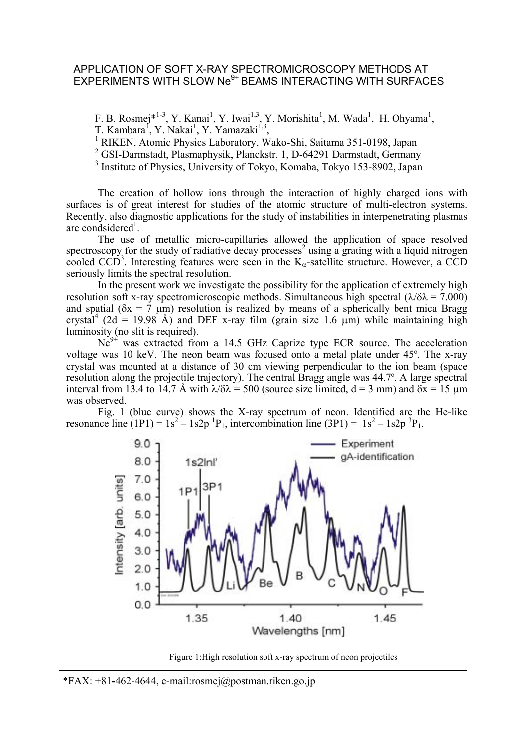## APPLICATION OF SOFT X-RAY SPECTROMICROSCOPY METHODS AT EXPERIMENTS WITH SLOW Ne<sup>9+</sup> BEAMS INTERACTING WITH SURFACES

F. B. Rosmej\*<sup>1-3</sup>, Y. Kanai<sup>1</sup>, Y. Iwai<sup>1,3</sup>, Y. Morishita<sup>1</sup>, M. Wada<sup>1</sup>, H. Ohyama<sup>1</sup>, T. Kambara<sup>f</sup>, Y. Nakai<sup>1</sup>, Y. Yamazaki<sup>1,3</sup>,<br><sup>1</sup> BJKEN, Atomia Bhyaigs Laboratory, W.

RIKEN, Atomic Physics Laboratory, Wako-Shi, Saitama 351-0198, Japan

<sup>2</sup> GSI-Darmstadt, Plasmaphysik, Planckstr. 1, D-64291 Darmstadt, Germany

<sup>3</sup> Institute of Physics, University of Tokyo, Komaba, Tokyo 153-8902, Japan

The creation of hollow ions through the interaction of highly charged ions with surfaces is of great interest for studies of the atomic structure of multi-electron systems. Recently, also diagnostic applications for the study of instabilities in interpenetrating plasmas are condsidered<sup>1</sup>.

The use of metallic micro-capillaries allowed the application of space resolved spectroscopy for the study of radiative decay processes<sup>2</sup> using a grating with a liquid nitrogen cooled CCD<sup>3</sup>. Interesting features were seen in the K<sub>α</sub>-satellite structure. However, a CCD seriously limits the spectral resolution.

In the present work we investigate the possibility for the application of extremely high resolution soft x-ray spectromicroscopic methods. Simultaneous high spectral  $(\lambda/\delta \lambda = 7.000)$ and spatial ( $\delta x = 7 \mu m$ ) resolution is realized by means of a spherically bent mica Bragg crystal<sup>4</sup> (2d = 19.98 Å) and DEF x-ray film (grain size 1.6  $\mu$ m) while maintaining high luminosity (no slit is required).

 $Ne<sup>9+</sup>$  was extracted from a 14.5 GHz Caprize type ECR source. The acceleration voltage was 10 keV. The neon beam was focused onto a metal plate under 45º. The x-ray crystal was mounted at a distance of 30 cm viewing perpendicular to the ion beam (space resolution along the projectile trajectory). The central Bragg angle was 44.7º. A large spectral interval from 13.4 to 14.7 Å with  $\lambda/\delta\lambda$  = 500 (source size limited, d = 3 mm) and  $\delta x$  = 15  $\mu$ m was observed.

Fig. 1 (blue curve) shows the X-ray spectrum of neon. Identified are the He-like resonance line  $(1P1) = 1s^2 - 1s2p^{-1}P_1$ , intercombination line  $(3P1) = 1s^2 - 1s2p^{-3}P_1$ .



Figure 1:High resolution soft x-ray spectrum of neon projectiles

L